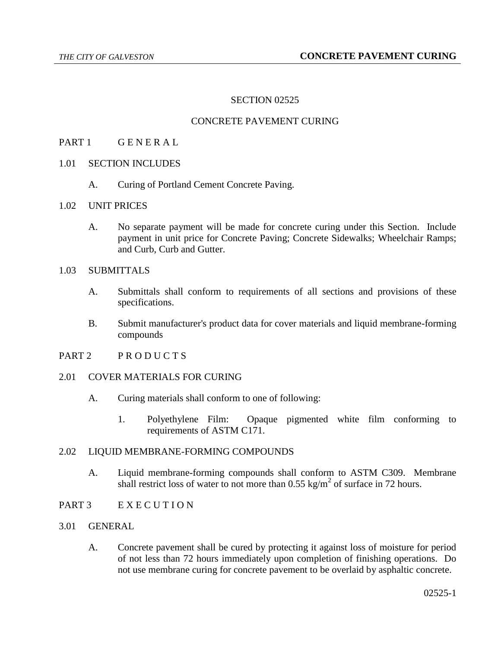## SECTION 02525

# CONCRETE PAVEMENT CURING

- PART 1 GENERAL
- 1.01 SECTION INCLUDES
	- A. Curing of Portland Cement Concrete Paving.
- 1.02 UNIT PRICES
	- A. No separate payment will be made for concrete curing under this Section. Include payment in unit price for Concrete Paving; Concrete Sidewalks; Wheelchair Ramps; and Curb, Curb and Gutter.
- 1.03 SUBMITTALS
	- A. Submittals shall conform to requirements of all sections and provisions of these specifications.
	- B. Submit manufacturer's product data for cover materials and liquid membrane-forming compounds
- PART 2 PRODUCTS

## 2.01 COVER MATERIALS FOR CURING

- A. Curing materials shall conform to one of following:
	- 1. Polyethylene Film: Opaque pigmented white film conforming to requirements of ASTM C171.

#### 2.02 LIQUID MEMBRANE-FORMING COMPOUNDS

- A. Liquid membrane-forming compounds shall conform to ASTM C309. Membrane shall restrict loss of water to not more than  $0.55 \text{ kg/m}^2$  of surface in 72 hours.
- PART 3 E X E C U T I O N
- 3.01 GENERAL
	- A. Concrete pavement shall be cured by protecting it against loss of moisture for period of not less than 72 hours immediately upon completion of finishing operations. Do not use membrane curing for concrete pavement to be overlaid by asphaltic concrete.